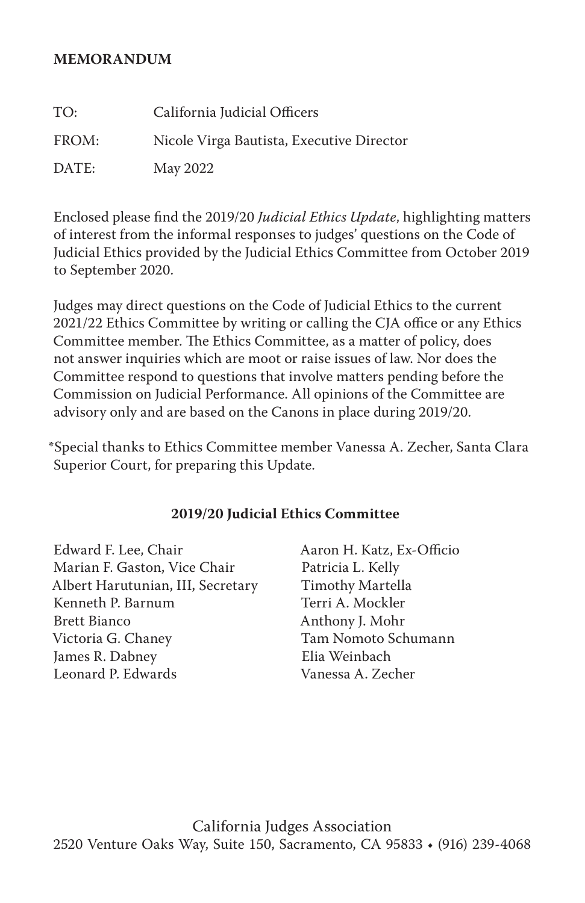#### **MEMORANDUM**

| TO:   | California Judicial Officers              |
|-------|-------------------------------------------|
| FROM: | Nicole Virga Bautista, Executive Director |
| DATE: | May 2022                                  |

Enclosed please find the 2019/20 *Judicial Ethics Update*, highlighting matters of interest from the informal responses to judges' questions on the Code of Judicial Ethics provided by the Judicial Ethics Committee from October 2019 to September 2020.

Judges may direct questions on the Code of Judicial Ethics to the current 2021/22 Ethics Committee by writing or calling the CJA office or any Ethics Committee member. The Ethics Committee, as a matter of policy, does not answer inquiries which are moot or raise issues of law. Nor does the Committee respond to questions that involve matters pending before the Commission on Judicial Performance. All opinions of the Committee are advisory only and are based on the Canons in place during 2019/20.

\*Special thanks to Ethics Committee member Vanessa A. Zecher, Santa Clara Superior Court, for preparing this Update.

#### **2019/20 Judicial Ethics Committee**

Edward F. Lee, Chair Marian F. Gaston, Vice Chair Albert Harutunian, III, Secretary Kenneth P. Barnum Brett Bianco Victoria G. Chaney James R. Dabney Leonard P. Edwards

Aaron H. Katz, Ex-Officio Patricia L. Kelly Timothy Martella Terri A. Mockler Anthony J. Mohr Tam Nomoto Schumann Elia Weinbach Vanessa A. Zecher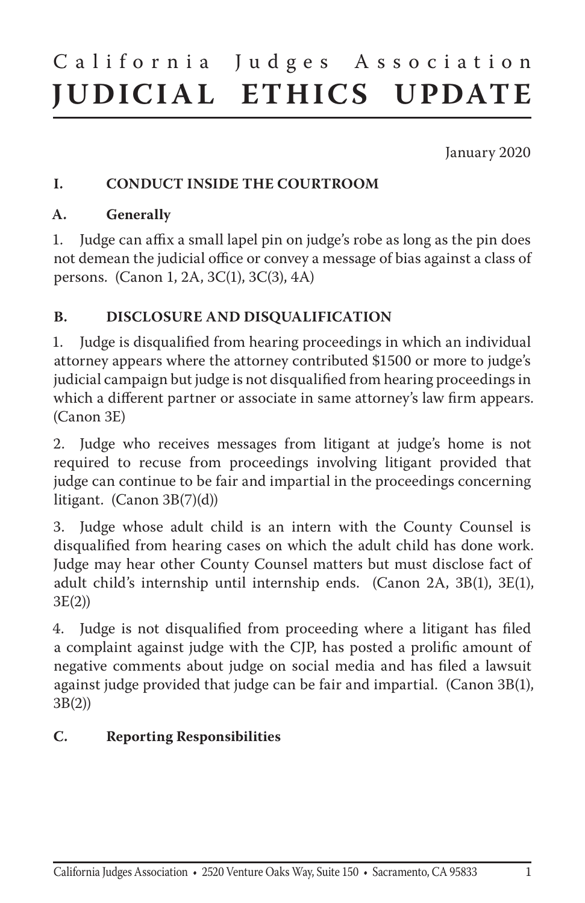# California Judges Association **JUDICIAL ETHICS UPDATE**

January 2020

#### **I. CONDUCT INSIDE THE COURTROOM**

#### **A. Generally**

1. Judge can affix a small lapel pin on judge's robe as long as the pin does not demean the judicial office or convey a message of bias against a class of persons. (Canon 1, 2A, 3C(1), 3C(3), 4A)

### **B. DISCLOSURE AND DISQUALIFICATION**

1. Judge is disqualified from hearing proceedings in which an individual attorney appears where the attorney contributed \$1500 or more to judge's judicial campaign but judge is not disqualified from hearing proceedings in which a different partner or associate in same attorney's law firm appears. (Canon 3E)

2. Judge who receives messages from litigant at judge's home is not required to recuse from proceedings involving litigant provided that judge can continue to be fair and impartial in the proceedings concerning litigant. (Canon 3B(7)(d))

3. Judge whose adult child is an intern with the County Counsel is disqualified from hearing cases on which the adult child has done work. Judge may hear other County Counsel matters but must disclose fact of adult child's internship until internship ends. (Canon 2A, 3B(1), 3E(1), 3E(2))

4. Judge is not disqualified from proceeding where a litigant has filed a complaint against judge with the CJP, has posted a prolific amount of negative comments about judge on social media and has filed a lawsuit against judge provided that judge can be fair and impartial. (Canon 3B(1), 3B(2))

#### **C. Reporting Responsibilities**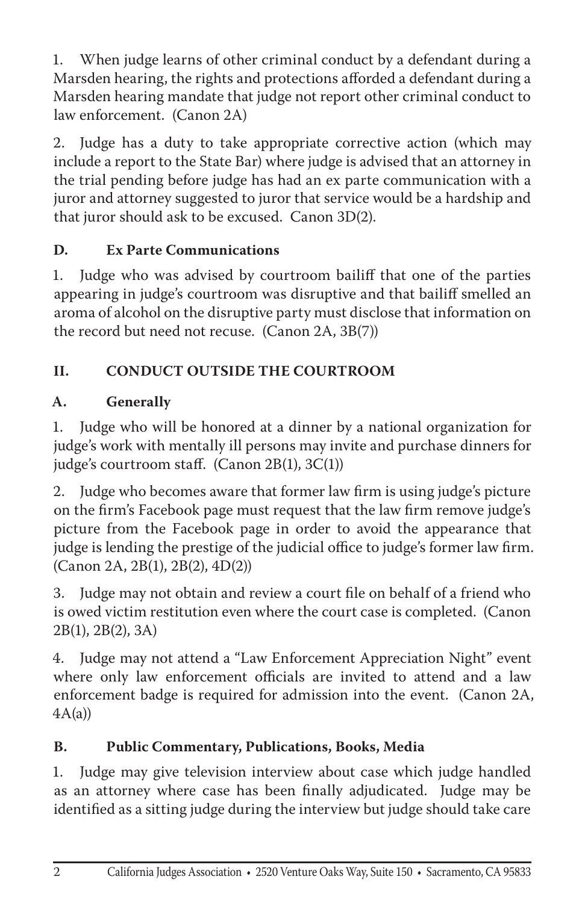1. When judge learns of other criminal conduct by a defendant during a Marsden hearing, the rights and protections afforded a defendant during a Marsden hearing mandate that judge not report other criminal conduct to law enforcement. (Canon 2A)

2. Judge has a duty to take appropriate corrective action (which may include a report to the State Bar) where judge is advised that an attorney in the trial pending before judge has had an ex parte communication with a juror and attorney suggested to juror that service would be a hardship and that juror should ask to be excused. Canon 3D(2).

# **D. Ex Parte Communications**

1. Judge who was advised by courtroom bailiff that one of the parties appearing in judge's courtroom was disruptive and that bailiff smelled an aroma of alcohol on the disruptive party must disclose that information on the record but need not recuse. (Canon 2A, 3B(7))

# **II. CONDUCT OUTSIDE THE COURTROOM**

# **A. Generally**

1. Judge who will be honored at a dinner by a national organization for judge's work with mentally ill persons may invite and purchase dinners for judge's courtroom staff. (Canon 2B(1), 3C(1))

2. Judge who becomes aware that former law firm is using judge's picture on the firm's Facebook page must request that the law firm remove judge's picture from the Facebook page in order to avoid the appearance that judge is lending the prestige of the judicial office to judge's former law firm. (Canon 2A, 2B(1), 2B(2), 4D(2))

3. Judge may not obtain and review a court file on behalf of a friend who is owed victim restitution even where the court case is completed. (Canon 2B(1), 2B(2), 3A)

4. Judge may not attend a "Law Enforcement Appreciation Night" event where only law enforcement officials are invited to attend and a law enforcement badge is required for admission into the event. (Canon 2A,  $4A(a)$ 

# **B. Public Commentary, Publications, Books, Media**

1. Judge may give television interview about case which judge handled as an attorney where case has been finally adjudicated. Judge may be identified as a sitting judge during the interview but judge should take care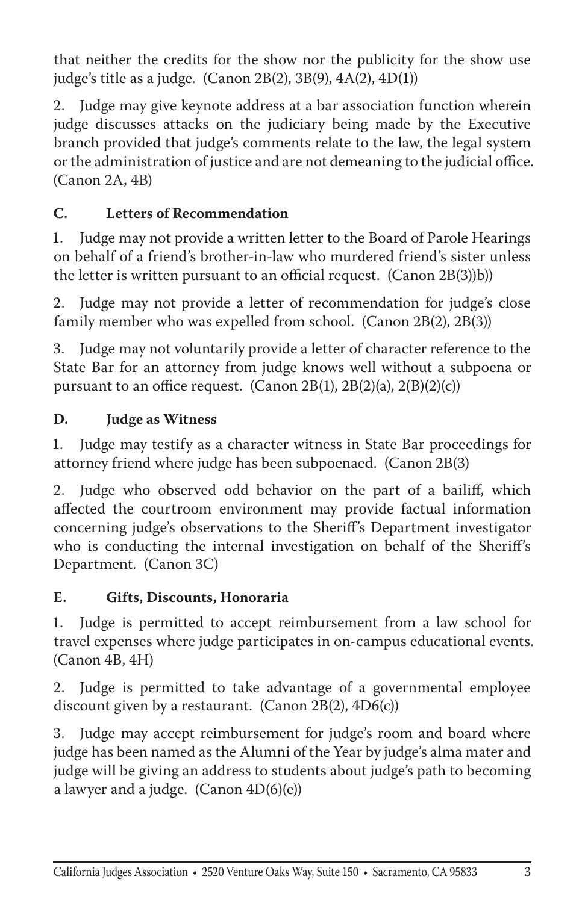that neither the credits for the show nor the publicity for the show use judge's title as a judge. (Canon  $2B(2)$ ,  $3B(9)$ ,  $4A(2)$ ,  $4D(1)$ )

2. Judge may give keynote address at a bar association function wherein judge discusses attacks on the judiciary being made by the Executive branch provided that judge's comments relate to the law, the legal system or the administration of justice and are not demeaning to the judicial office. (Canon 2A, 4B)

# **C. Letters of Recommendation**

1. Judge may not provide a written letter to the Board of Parole Hearings on behalf of a friend's brother-in-law who murdered friend's sister unless the letter is written pursuant to an official request. (Canon 2B(3))b))

2. Judge may not provide a letter of recommendation for judge's close family member who was expelled from school. (Canon 2B(2), 2B(3))

3. Judge may not voluntarily provide a letter of character reference to the State Bar for an attorney from judge knows well without a subpoena or pursuant to an office request. (Canon 2B(1), 2B(2)(a), 2(B)(2)(c))

#### **D. Judge as Witness**

1. Judge may testify as a character witness in State Bar proceedings for attorney friend where judge has been subpoenaed. (Canon 2B(3)

2. Judge who observed odd behavior on the part of a bailiff, which affected the courtroom environment may provide factual information concerning judge's observations to the Sheriff's Department investigator who is conducting the internal investigation on behalf of the Sheriff's Department. (Canon 3C)

#### **E. Gifts, Discounts, Honoraria**

1. Judge is permitted to accept reimbursement from a law school for travel expenses where judge participates in on-campus educational events. (Canon 4B, 4H)

2. Judge is permitted to take advantage of a governmental employee discount given by a restaurant. (Canon 2B(2), 4D6(c))

3. Judge may accept reimbursement for judge's room and board where judge has been named as the Alumni of the Year by judge's alma mater and judge will be giving an address to students about judge's path to becoming a lawyer and a judge. (Canon  $4D(6)(e)$ )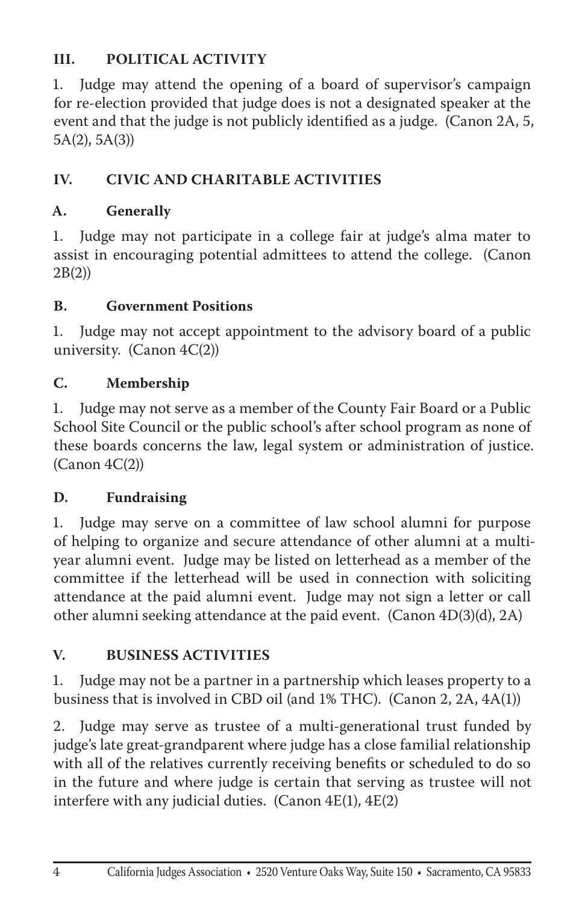# **III. POLITICAL ACTIVITY**

1. Judge may attend the opening of a board of supervisor's campaign for re-election provided that judge does is not a designated speaker at the event and that the judge is not publicly identified as a judge. (Canon 2A, 5, 5A(2), 5A(3))

# **IV. CIVIC AND CHARITABLE ACTIVITIES**

## **A. Generally**

1. Judge may not participate in a college fair at judge's alma mater to assist in encouraging potential admittees to attend the college. (Canon 2B(2))

#### **B. Government Positions**

1. Judge may not accept appointment to the advisory board of a public university. (Canon 4C(2))

#### **C. Membership**

1. Judge may not serve as a member of the County Fair Board or a Public School Site Council or the public school's after school program as none of these boards concerns the law, legal system or administration of justice.  $(Canon \ 4C(2))$ 

#### **D. Fundraising**

1. Judge may serve on a committee of law school alumni for purpose of helping to organize and secure attendance of other alumni at a multiyear alumni event. Judge may be listed on letterhead as a member of the committee if the letterhead will be used in connection with soliciting attendance at the paid alumni event. Judge may not sign a letter or call other alumni seeking attendance at the paid event. (Canon 4D(3)(d), 2A)

## **V. BUSINESS ACTIVITIES**

1. Judge may not be a partner in a partnership which leases property to a business that is involved in CBD oil (and 1% THC). (Canon 2, 2A, 4A(1))

2. Judge may serve as trustee of a multi-generational trust funded by judge's late great-grandparent where judge has a close familial relationship with all of the relatives currently receiving benefits or scheduled to do so in the future and where judge is certain that serving as trustee will not interfere with any judicial duties. (Canon  $4E(1)$ ,  $4E(2)$